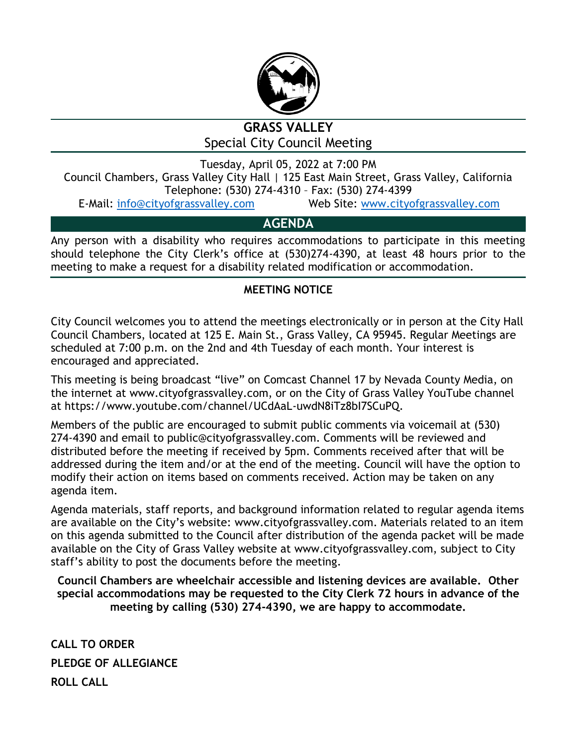

# **GRASS VALLEY** Special City Council Meeting

Tuesday, April 05, 2022 at 7:00 PM

Council Chambers, Grass Valley City Hall | 125 East Main Street, Grass Valley, California Telephone: (530) 274-4310 – Fax: (530) 274-4399

E-Mail: [info@cityofgrassvalley.com](mailto:info@cityofgrassvalley.com) Web Site: [www.cityofgrassvalley.com](http://www.cityofgrassvalley.com/)

## **AGENDA**

Any person with a disability who requires accommodations to participate in this meeting should telephone the City Clerk's office at (530)274-4390, at least 48 hours prior to the meeting to make a request for a disability related modification or accommodation.

## **MEETING NOTICE**

City Council welcomes you to attend the meetings electronically or in person at the City Hall Council Chambers, located at 125 E. Main St., Grass Valley, CA 95945. Regular Meetings are scheduled at 7:00 p.m. on the 2nd and 4th Tuesday of each month. Your interest is encouraged and appreciated.

This meeting is being broadcast "live" on Comcast Channel 17 by Nevada County Media, on the internet at www.cityofgrassvalley.com, or on the City of Grass Valley YouTube channel at https://www.youtube.com/channel/UCdAaL-uwdN8iTz8bI7SCuPQ.

Members of the public are encouraged to submit public comments via voicemail at (530) 274-4390 and email to public@cityofgrassvalley.com. Comments will be reviewed and distributed before the meeting if received by 5pm. Comments received after that will be addressed during the item and/or at the end of the meeting. Council will have the option to modify their action on items based on comments received. Action may be taken on any agenda item.

Agenda materials, staff reports, and background information related to regular agenda items are available on the City's website: www.cityofgrassvalley.com. Materials related to an item on this agenda submitted to the Council after distribution of the agenda packet will be made available on the City of Grass Valley website at www.cityofgrassvalley.com, subject to City staff's ability to post the documents before the meeting.

**Council Chambers are wheelchair accessible and listening devices are available. Other special accommodations may be requested to the City Clerk 72 hours in advance of the meeting by calling (530) 274-4390, we are happy to accommodate.**

**CALL TO ORDER PLEDGE OF ALLEGIANCE ROLL CALL**